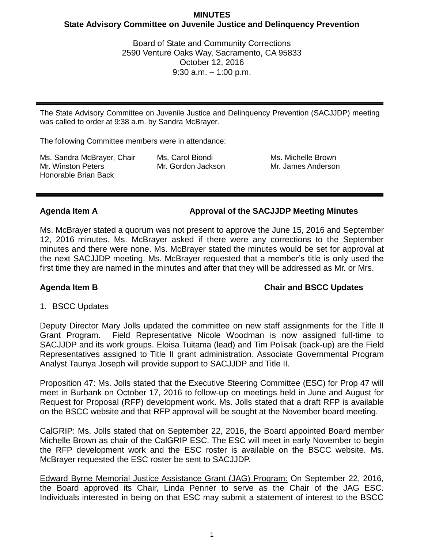# **MINUTES State Advisory Committee on Juvenile Justice and Delinquency Prevention**

Board of State and Community Corrections 2590 Venture Oaks Way, Sacramento, CA 95833 October 12, 2016 9:30 a.m. – 1:00 p.m.

The State Advisory Committee on Juvenile Justice and Delinquency Prevention (SACJJDP) meeting was called to order at 9:38 a.m. by Sandra McBrayer.

The following Committee members were in attendance:

Ms. Sandra McBrayer, Chair Mr. Winston Peters Honorable Brian Back

Ms. Carol Biondi Mr. Gordon Jackson Ms. Michelle Brown Mr. James Anderson

**Agenda Item A Approval of the SACJJDP Meeting Minutes**

Ms. McBrayer stated a quorum was not present to approve the June 15, 2016 and September 12, 2016 minutes. Ms. McBrayer asked if there were any corrections to the September minutes and there were none. Ms. McBrayer stated the minutes would be set for approval at the next SACJJDP meeting. Ms. McBrayer requested that a member's title is only used the first time they are named in the minutes and after that they will be addressed as Mr. or Mrs.

Agenda Item B **Chair and BSCC Updates** 

1. BSCC Updates

Deputy Director Mary Jolls updated the committee on new staff assignments for the Title II Grant Program. Field Representative Nicole Woodman is now assigned full-time to SACJJDP and its work groups. Eloisa Tuitama (lead) and Tim Polisak (back-up) are the Field Representatives assigned to Title II grant administration. Associate Governmental Program Analyst Taunya Joseph will provide support to SACJJDP and Title II.

Proposition 47: Ms. Jolls stated that the Executive Steering Committee (ESC) for Prop 47 will meet in Burbank on October 17, 2016 to follow-up on meetings held in June and August for Request for Proposal (RFP) development work. Ms. Jolls stated that a draft RFP is available on the BSCC website and that RFP approval will be sought at the November board meeting.

CalGRIP: Ms. Jolls stated that on September 22, 2016, the Board appointed Board member Michelle Brown as chair of the CalGRIP ESC. The ESC will meet in early November to begin the RFP development work and the ESC roster is available on the BSCC website. Ms. McBrayer requested the ESC roster be sent to SACJJDP.

Edward Byrne Memorial Justice Assistance Grant (JAG) Program: On September 22, 2016, the Board approved its Chair, Linda Penner to serve as the Chair of the JAG ESC. Individuals interested in being on that ESC may submit a statement of interest to the BSCC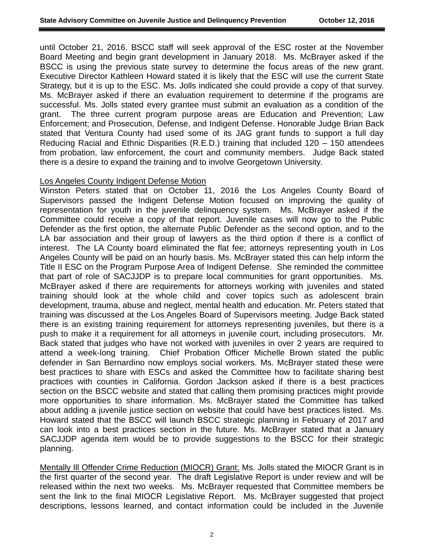until October 21, 2016. BSCC staff will seek approval of the ESC roster at the November Board Meeting and begin grant development in January 2018. Ms. McBrayer asked if the BSCC is using the previous state survey to determine the focus areas of the new grant. Executive Director Kathleen Howard stated it is likely that the ESC will use the current State Strategy, but it is up to the ESC. Ms. Jolls indicated she could provide a copy of that survey. Ms. McBrayer asked if there an evaluation requirement to determine if the programs are successful. Ms. Jolls stated every grantee must submit an evaluation as a condition of the grant. The three current program purpose areas are Education and Prevention; Law Enforcement; and Prosecution, Defense, and Indigent Defense. Honorable Judge Brian Back stated that Ventura County had used some of its JAG grant funds to support a full day Reducing Racial and Ethnic Disparities (R.E.D.) training that included 120 – 150 attendees from probation, law enforcement, the court and community members. Judge Back stated there is a desire to expand the training and to involve Georgetown University.

### Los Angeles County Indigent Defense Motion

Winston Peters stated that on October 11, 2016 the Los Angeles County Board of Supervisors passed the Indigent Defense Motion focused on improving the quality of representation for youth in the juvenile delinquency system. Ms. McBrayer asked if the Committee could receive a copy of that report. Juvenile cases will now go to the Public Defender as the first option, the alternate Public Defender as the second option, and to the LA bar association and their group of lawyers as the third option if there is a conflict of interest. The LA County board eliminated the flat fee; attorneys representing youth in Los Angeles County will be paid on an hourly basis. Ms. McBrayer stated this can help inform the Title II ESC on the Program Purpose Area of Indigent Defense. She reminded the committee that part of role of SACJJDP is to prepare local communities for grant opportunities. Ms. McBrayer asked if there are requirements for attorneys working with juveniles and stated training should look at the whole child and cover topics such as adolescent brain development, trauma, abuse and neglect, mental health and education. Mr. Peters stated that training was discussed at the Los Angeles Board of Supervisors meeting. Judge Back stated there is an existing training requirement for attorneys representing juveniles, but there is a push to make it a requirement for all attorneys in juvenile court, including prosecutors. Mr. Back stated that judges who have not worked with juveniles in over 2 years are required to attend a week-long training. Chief Probation Officer Michelle Brown stated the public defender in San Bernardino now employs social workers. Ms. McBrayer stated these were best practices to share with ESCs and asked the Committee how to facilitate sharing best practices with counties in California. Gordon Jackson asked if there is a best practices section on the BSCC website and stated that calling them promising practices might provide more opportunities to share information. Ms. McBrayer stated the Committee has talked about adding a juvenile justice section on website that could have best practices listed. Ms. Howard stated that the BSCC will launch BSCC strategic planning in February of 2017 and can look into a best practices section in the future. Ms. McBrayer stated that a January SACJJDP agenda item would be to provide suggestions to the BSCC for their strategic planning.

Mentally III Offender Crime Reduction (MIOCR) Grant: Ms. Jolls stated the MIOCR Grant is in the first quarter of the second year. The draft Legislative Report is under review and will be released within the next two weeks. Ms. McBrayer requested that Committee members be sent the link to the final MIOCR Legislative Report. Ms. McBrayer suggested that project descriptions, lessons learned, and contact information could be included in the Juvenile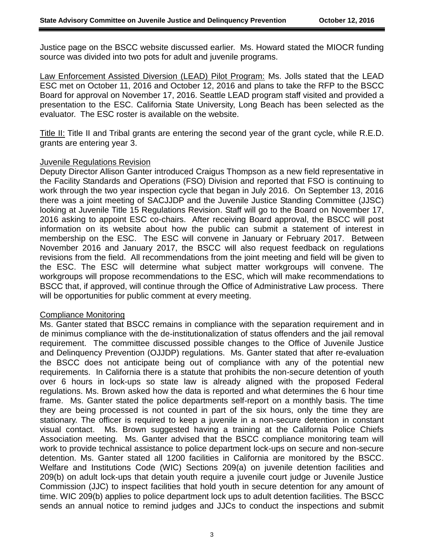Justice page on the BSCC website discussed earlier. Ms. Howard stated the MIOCR funding source was divided into two pots for adult and juvenile programs.

Law Enforcement Assisted Diversion (LEAD) Pilot Program: Ms. Jolls stated that the LEAD ESC met on October 11, 2016 and October 12, 2016 and plans to take the RFP to the BSCC Board for approval on November 17, 2016. Seattle LEAD program staff visited and provided a presentation to the ESC. California State University, Long Beach has been selected as the evaluator. The ESC roster is available on the website.

Title II: Title II and Tribal grants are entering the second year of the grant cycle, while R.E.D. grants are entering year 3.

### Juvenile Regulations Revision

Deputy Director Allison Ganter introduced Craigus Thompson as a new field representative in the Facility Standards and Operations (FSO) Division and reported that FSO is continuing to work through the two year inspection cycle that began in July 2016. On September 13, 2016 there was a joint meeting of SACJJDP and the Juvenile Justice Standing Committee (JJSC) looking at Juvenile Title 15 Regulations Revision. Staff will go to the Board on November 17, 2016 asking to appoint ESC co-chairs. After receiving Board approval, the BSCC will post information on its website about how the public can submit a statement of interest in membership on the ESC. The ESC will convene in January or February 2017. Between November 2016 and January 2017, the BSCC will also request feedback on regulations revisions from the field. All recommendations from the joint meeting and field will be given to the ESC. The ESC will determine what subject matter workgroups will convene. The workgroups will propose recommendations to the ESC, which will make recommendations to BSCC that, if approved, will continue through the Office of Administrative Law process. There will be opportunities for public comment at every meeting.

### Compliance Monitoring

Ms. Ganter stated that BSCC remains in compliance with the separation requirement and in de minimus compliance with the de-institutionalization of status offenders and the jail removal requirement. The committee discussed possible changes to the Office of Juvenile Justice and Delinquency Prevention (OJJDP) regulations. Ms. Ganter stated that after re-evaluation the BSCC does not anticipate being out of compliance with any of the potential new requirements. In California there is a statute that prohibits the non-secure detention of youth over 6 hours in lock-ups so state law is already aligned with the proposed Federal regulations. Ms. Brown asked how the data is reported and what determines the 6 hour time frame. Ms. Ganter stated the police departments self-report on a monthly basis. The time they are being processed is not counted in part of the six hours, only the time they are stationary. The officer is required to keep a juvenile in a non-secure detention in constant visual contact. Ms. Brown suggested having a training at the California Police Chiefs Association meeting. Ms. Ganter advised that the BSCC compliance monitoring team will work to provide technical assistance to police department lock-ups on secure and non-secure detention. Ms. Ganter stated all 1200 facilities in California are monitored by the BSCC. Welfare and Institutions Code (WIC) Sections 209(a) on juvenile detention facilities and 209(b) on adult lock-ups that detain youth require a juvenile court judge or Juvenile Justice Commission (JJC) to inspect facilities that hold youth in secure detention for any amount of time. WIC 209(b) applies to police department lock ups to adult detention facilities. The BSCC sends an annual notice to remind judges and JJCs to conduct the inspections and submit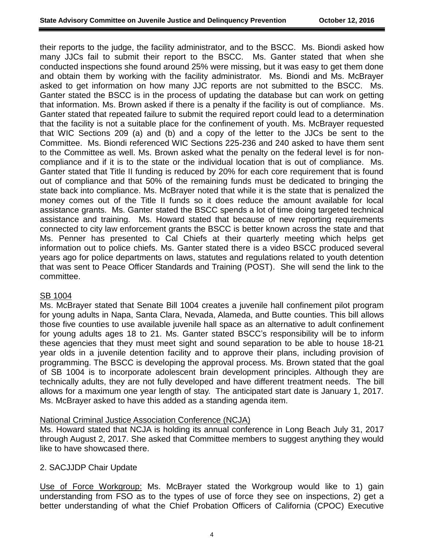their reports to the judge, the facility administrator, and to the BSCC. Ms. Biondi asked how many JJCs fail to submit their report to the BSCC. Ms. Ganter stated that when she conducted inspections she found around 25% were missing, but it was easy to get them done and obtain them by working with the facility administrator. Ms. Biondi and Ms. McBrayer asked to get information on how many JJC reports are not submitted to the BSCC. Ms. Ganter stated the BSCC is in the process of updating the database but can work on getting that information. Ms. Brown asked if there is a penalty if the facility is out of compliance. Ms. Ganter stated that repeated failure to submit the required report could lead to a determination that the facility is not a suitable place for the confinement of youth. Ms. McBrayer requested that WIC Sections 209 (a) and (b) and a copy of the letter to the JJCs be sent to the Committee. Ms. Biondi referenced WIC Sections 225-236 and 240 asked to have them sent to the Committee as well. Ms. Brown asked what the penalty on the federal level is for noncompliance and if it is to the state or the individual location that is out of compliance. Ms. Ganter stated that Title II funding is reduced by 20% for each core requirement that is found out of compliance and that 50% of the remaining funds must be dedicated to bringing the state back into compliance. Ms. McBrayer noted that while it is the state that is penalized the money comes out of the Title II funds so it does reduce the amount available for local assistance grants. Ms. Ganter stated the BSCC spends a lot of time doing targeted technical assistance and training. Ms. Howard stated that because of new reporting requirements connected to city law enforcement grants the BSCC is better known across the state and that Ms. Penner has presented to Cal Chiefs at their quarterly meeting which helps get information out to police chiefs. Ms. Ganter stated there is a video BSCC produced several years ago for police departments on laws, statutes and regulations related to youth detention that was sent to Peace Officer Standards and Training (POST). She will send the link to the committee.

## SB 1004

Ms. McBrayer stated that Senate Bill 1004 creates a juvenile hall confinement pilot program for young adults in Napa, Santa Clara, Nevada, Alameda, and Butte counties. This bill allows those five counties to use available juvenile hall space as an alternative to adult confinement for young adults ages 18 to 21. Ms. Ganter stated BSCC's responsibility will be to inform these agencies that they must meet sight and sound separation to be able to house 18-21 year olds in a juvenile detention facility and to approve their plans, including provision of programming. The BSCC is developing the approval process. Ms. Brown stated that the goal of SB 1004 is to incorporate adolescent brain development principles. Although they are technically adults, they are not fully developed and have different treatment needs. The bill allows for a maximum one year length of stay. The anticipated start date is January 1, 2017. Ms. McBrayer asked to have this added as a standing agenda item.

### National Criminal Justice Association Conference (NCJA)

Ms. Howard stated that NCJA is holding its annual conference in Long Beach July 31, 2017 through August 2, 2017. She asked that Committee members to suggest anything they would like to have showcased there.

### 2. SACJJDP Chair Update

Use of Force Workgroup: Ms. McBrayer stated the Workgroup would like to 1) gain understanding from FSO as to the types of use of force they see on inspections, 2) get a better understanding of what the Chief Probation Officers of California (CPOC) Executive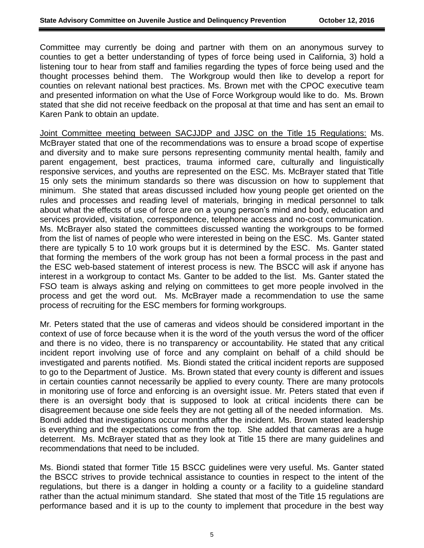Committee may currently be doing and partner with them on an anonymous survey to counties to get a better understanding of types of force being used in California, 3) hold a listening tour to hear from staff and families regarding the types of force being used and the thought processes behind them. The Workgroup would then like to develop a report for counties on relevant national best practices. Ms. Brown met with the CPOC executive team and presented information on what the Use of Force Workgroup would like to do. Ms. Brown stated that she did not receive feedback on the proposal at that time and has sent an email to Karen Pank to obtain an update.

Joint Committee meeting between SACJJDP and JJSC on the Title 15 Regulations: Ms. McBrayer stated that one of the recommendations was to ensure a broad scope of expertise and diversity and to make sure persons representing community mental health, family and parent engagement, best practices, trauma informed care, culturally and linguistically responsive services, and youths are represented on the ESC. Ms. McBrayer stated that Title 15 only sets the minimum standards so there was discussion on how to supplement that minimum. She stated that areas discussed included how young people get oriented on the rules and processes and reading level of materials, bringing in medical personnel to talk about what the effects of use of force are on a young person's mind and body, education and services provided, visitation, correspondence, telephone access and no-cost communication. Ms. McBrayer also stated the committees discussed wanting the workgroups to be formed from the list of names of people who were interested in being on the ESC. Ms. Ganter stated there are typically 5 to 10 work groups but it is determined by the ESC. Ms. Ganter stated that forming the members of the work group has not been a formal process in the past and the ESC web-based statement of interest process is new. The BSCC will ask if anyone has interest in a workgroup to contact Ms. Ganter to be added to the list. Ms. Ganter stated the FSO team is always asking and relying on committees to get more people involved in the process and get the word out. Ms. McBrayer made a recommendation to use the same process of recruiting for the ESC members for forming workgroups.

Mr. Peters stated that the use of cameras and videos should be considered important in the context of use of force because when it is the word of the youth versus the word of the officer and there is no video, there is no transparency or accountability. He stated that any critical incident report involving use of force and any complaint on behalf of a child should be investigated and parents notified. Ms. Biondi stated the critical incident reports are supposed to go to the Department of Justice. Ms. Brown stated that every county is different and issues in certain counties cannot necessarily be applied to every county. There are many protocols in monitoring use of force and enforcing is an oversight issue. Mr. Peters stated that even if there is an oversight body that is supposed to look at critical incidents there can be disagreement because one side feels they are not getting all of the needed information. Ms. Bondi added that investigations occur months after the incident. Ms. Brown stated leadership is everything and the expectations come from the top. She added that cameras are a huge deterrent. Ms. McBrayer stated that as they look at Title 15 there are many guidelines and recommendations that need to be included.

Ms. Biondi stated that former Title 15 BSCC guidelines were very useful. Ms. Ganter stated the BSCC strives to provide technical assistance to counties in respect to the intent of the regulations, but there is a danger in holding a county or a facility to a guideline standard rather than the actual minimum standard. She stated that most of the Title 15 regulations are performance based and it is up to the county to implement that procedure in the best way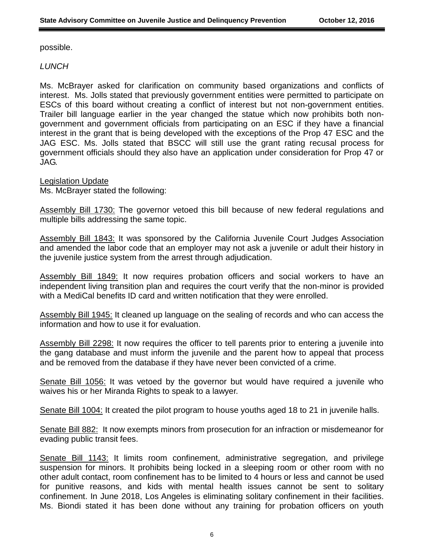possible.

*LUNCH*

Ms. McBrayer asked for clarification on community based organizations and conflicts of interest. Ms. Jolls stated that previously government entities were permitted to participate on ESCs of this board without creating a conflict of interest but not non-government entities. Trailer bill language earlier in the year changed the statue which now prohibits both nongovernment and government officials from participating on an ESC if they have a financial interest in the grant that is being developed with the exceptions of the Prop 47 ESC and the JAG ESC. Ms. Jolls stated that BSCC will still use the grant rating recusal process for government officials should they also have an application under consideration for Prop 47 or JAG.

Legislation Update

Ms. McBrayer stated the following:

Assembly Bill 1730: The governor vetoed this bill because of new federal regulations and multiple bills addressing the same topic.

Assembly Bill 1843: It was sponsored by the California Juvenile Court Judges Association and amended the labor code that an employer may not ask a juvenile or adult their history in the juvenile justice system from the arrest through adjudication.

Assembly Bill 1849: It now requires probation officers and social workers to have an independent living transition plan and requires the court verify that the non-minor is provided with a MediCal benefits ID card and written notification that they were enrolled.

Assembly Bill 1945: It cleaned up language on the sealing of records and who can access the information and how to use it for evaluation.

Assembly Bill 2298: It now requires the officer to tell parents prior to entering a juvenile into the gang database and must inform the juvenile and the parent how to appeal that process and be removed from the database if they have never been convicted of a crime.

Senate Bill 1056: It was vetoed by the governor but would have required a juvenile who waives his or her Miranda Rights to speak to a lawyer.

Senate Bill 1004: It created the pilot program to house youths aged 18 to 21 in juvenile halls.

Senate Bill 882: It now exempts minors from prosecution for an infraction or misdemeanor for evading public transit fees.

Senate Bill 1143: It limits room confinement, administrative segregation, and privilege suspension for minors. It prohibits being locked in a sleeping room or other room with no other adult contact, room confinement has to be limited to 4 hours or less and cannot be used for punitive reasons, and kids with mental health issues cannot be sent to solitary confinement. In June 2018, Los Angeles is eliminating solitary confinement in their facilities. Ms. Biondi stated it has been done without any training for probation officers on youth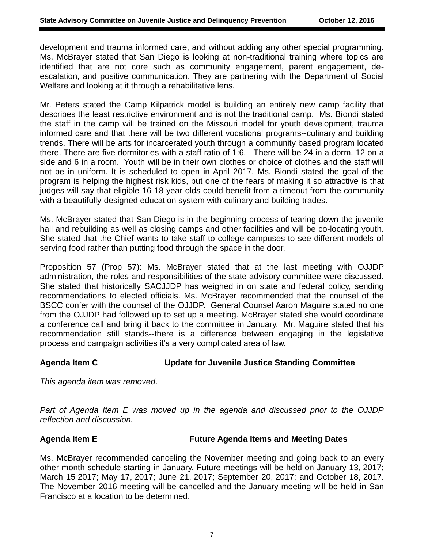development and trauma informed care, and without adding any other special programming. Ms. McBrayer stated that San Diego is looking at non-traditional training where topics are identified that are not core such as community engagement, parent engagement, deescalation, and positive communication. They are partnering with the Department of Social Welfare and looking at it through a rehabilitative lens.

Mr. Peters stated the Camp Kilpatrick model is building an entirely new camp facility that describes the least restrictive environment and is not the traditional camp. Ms. Biondi stated the staff in the camp will be trained on the Missouri model for youth development, trauma informed care and that there will be two different vocational programs--culinary and building trends. There will be arts for incarcerated youth through a community based program located there. There are five dormitories with a staff ratio of 1:6. There will be 24 in a dorm, 12 on a side and 6 in a room. Youth will be in their own clothes or choice of clothes and the staff will not be in uniform. It is scheduled to open in April 2017. Ms. Biondi stated the goal of the program is helping the highest risk kids, but one of the fears of making it so attractive is that judges will say that eligible 16-18 year olds could benefit from a timeout from the community with a beautifully-designed education system with culinary and building trades.

Ms. McBrayer stated that San Diego is in the beginning process of tearing down the juvenile hall and rebuilding as well as closing camps and other facilities and will be co-locating youth. She stated that the Chief wants to take staff to college campuses to see different models of serving food rather than putting food through the space in the door.

Proposition 57 (Prop 57): Ms. McBrayer stated that at the last meeting with OJJDP administration, the roles and responsibilities of the state advisory committee were discussed. She stated that historically SACJJDP has weighed in on state and federal policy, sending recommendations to elected officials. Ms. McBrayer recommended that the counsel of the BSCC confer with the counsel of the OJJDP. General Counsel Aaron Maguire stated no one from the OJJDP had followed up to set up a meeting. McBrayer stated she would coordinate a conference call and bring it back to the committee in January. Mr. Maguire stated that his recommendation still stands--there is a difference between engaging in the legislative process and campaign activities it's a very complicated area of law.

# **Agenda Item C Update for Juvenile Justice Standing Committee**

*This agenda item was removed*.

*Part of Agenda Item E was moved up in the agenda and discussed prior to the OJJDP reflection and discussion.*

### **Agenda Item E Future Agenda Items and Meeting Dates**

Ms. McBrayer recommended canceling the November meeting and going back to an every other month schedule starting in January. Future meetings will be held on January 13, 2017; March 15 2017; May 17, 2017; June 21, 2017; September 20, 2017; and October 18, 2017. The November 2016 meeting will be cancelled and the January meeting will be held in San Francisco at a location to be determined.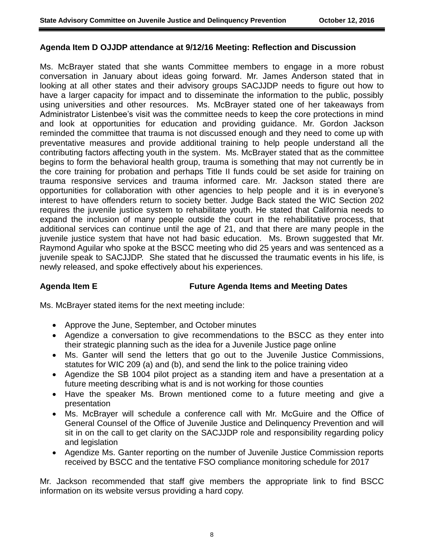### **Agenda Item D OJJDP attendance at 9/12/16 Meeting: Reflection and Discussion**

Ms. McBrayer stated that she wants Committee members to engage in a more robust conversation in January about ideas going forward. Mr. James Anderson stated that in looking at all other states and their advisory groups SACJJDP needs to figure out how to have a larger capacity for impact and to disseminate the information to the public, possibly using universities and other resources. Ms. McBrayer stated one of her takeaways from Administrator Listenbee's visit was the committee needs to keep the core protections in mind and look at opportunities for education and providing guidance. Mr. Gordon Jackson reminded the committee that trauma is not discussed enough and they need to come up with preventative measures and provide additional training to help people understand all the contributing factors affecting youth in the system. Ms. McBrayer stated that as the committee begins to form the behavioral health group, trauma is something that may not currently be in the core training for probation and perhaps Title II funds could be set aside for training on trauma responsive services and trauma informed care. Mr. Jackson stated there are opportunities for collaboration with other agencies to help people and it is in everyone's interest to have offenders return to society better. Judge Back stated the WIC Section 202 requires the juvenile justice system to rehabilitate youth. He stated that California needs to expand the inclusion of many people outside the court in the rehabilitative process, that additional services can continue until the age of 21, and that there are many people in the juvenile justice system that have not had basic education. Ms. Brown suggested that Mr. Raymond Aguilar who spoke at the BSCC meeting who did 25 years and was sentenced as a juvenile speak to SACJJDP. She stated that he discussed the traumatic events in his life, is newly released, and spoke effectively about his experiences.

### **Agenda Item E Future Agenda Items and Meeting Dates**

Ms. McBrayer stated items for the next meeting include:

- Approve the June, September, and October minutes
- Agendize a conversation to give recommendations to the BSCC as they enter into their strategic planning such as the idea for a Juvenile Justice page online
- Ms. Ganter will send the letters that go out to the Juvenile Justice Commissions, statutes for WIC 209 (a) and (b), and send the link to the police training video
- Agendize the SB 1004 pilot project as a standing item and have a presentation at a future meeting describing what is and is not working for those counties
- Have the speaker Ms. Brown mentioned come to a future meeting and give a presentation
- Ms. McBrayer will schedule a conference call with Mr. McGuire and the Office of General Counsel of the Office of Juvenile Justice and Delinquency Prevention and will sit in on the call to get clarity on the SACJJDP role and responsibility regarding policy and legislation
- Agendize Ms. Ganter reporting on the number of Juvenile Justice Commission reports received by BSCC and the tentative FSO compliance monitoring schedule for 2017

Mr. Jackson recommended that staff give members the appropriate link to find BSCC information on its website versus providing a hard copy.